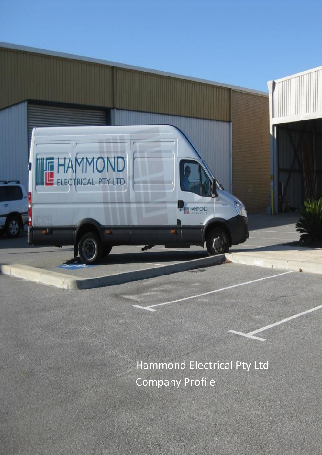Hammond Electrical Pty Ltd Company Profile

**A HAMMOND** 

ELECTRICAL PTY LTD.

X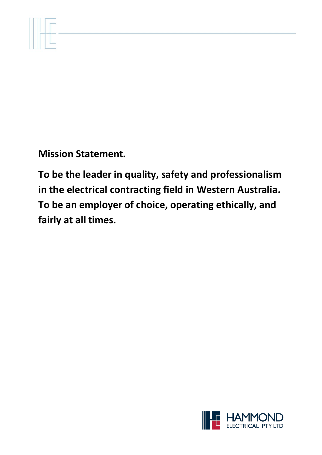

**To be the leader in quality, safety and professionalism in the electrical contracting field in Western Australia. To be an employer of choice, operating ethically, and fairly at all times.**

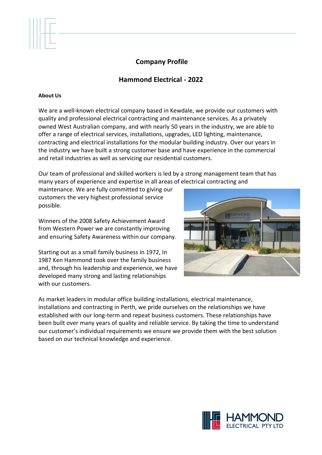# **Company Profile**

# **Hammond Electrical - 2022**

#### **About Us**

We are a well-known electrical company based in Kewdale, we provide our customers with quality and professional electrical contracting and maintenance services. As a privately owned West Australian company, and with nearly 50 years in the industry, we are able to offer a range of electrical services, installations, upgrades, LED lighting, maintenance, contracting and electrical installations for the modular building industry. Over our years in the industry we have built a strong customer base and have experience in the commercial and retail industries as well as servicing our residential customers.

Our team of professional and skilled workers is led by a strong management team that has many years of experience and expertise in all areas of electrical contracting and

maintenance. We are fully committed to giving our customers the very highest professional service possible.

Winners of the 2008 Safety Achievement Award from Western Power we are constantly improving and ensuring Safety Awareness within our company.

Starting out as a small family business in 1972, In 1987 Ken Hammond took over the family business and, through his leadership and experience, we have developed many strong and lasting relationships with our customers.



As market leaders in modular office building installations, electrical maintenance, installations and contracting in Perth, we pride ourselves on the relationships we have established with our long-term and repeat business customers. These relationships have been built over many years of quality and reliable service. By taking the time to understand our customer's individual requirements we ensure we provide them with the best solution based on our technical knowledge and experience.

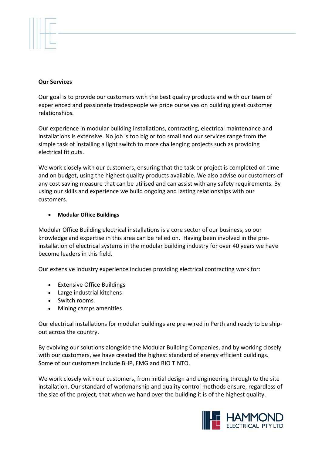## **Our Services**

Our goal is to provide our customers with the best quality products and with our team of experienced and passionate tradespeople we pride ourselves on building great customer relationships*.*

Our experience in modular building installations, contracting, electrical maintenance and installations is extensive. No job is too big or too small and our services range from the simple task of installing a light switch to more challenging projects such as providing electrical fit outs.

We work closely with our customers, ensuring that the task or project is completed on time and on budget, using the highest quality products available. We also advise our customers of any cost saving measure that can be utilised and can assist with any safety requirements. By using our skills and experience we build ongoing and lasting relationships with our customers.

## • **Modular Office Buildings**

Modular Office Building electrical installations is a core sector of our business, so our knowledge and expertise in this area can be relied on. Having been involved in the preinstallation of electrical systems in the modular building industry for over 40 years we have become leaders in this field.

Our extensive industry experience includes providing electrical contracting work for:

- Extensive Office Buildings
- Large industrial kitchens
- Switch rooms
- Mining camps amenities

Our electrical installations for modular buildings are pre-wired in Perth and ready to be shipout across the country.

By evolving our solutions alongside the Modular Building Companies, and by working closely with our customers, we have created the highest standard of energy efficient buildings. Some of our customers include BHP, FMG and RIO TINTO.

We work closely with our customers, from initial design and engineering through to the site installation. Our standard of workmanship and quality control methods ensure, regardless of the size of the project, that when we hand over the building it is of the highest quality.

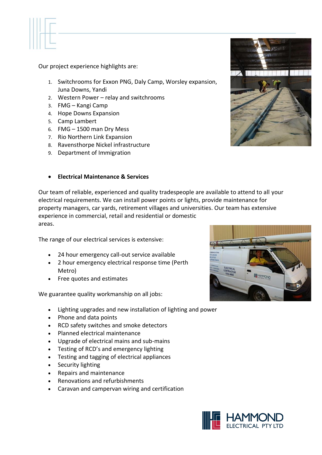

Our project experience highlights are:

- 1. Switchrooms for Exxon PNG, Daly Camp, Worsley expansion, Juna Downs, Yandi
- 2. Western Power relay and switchrooms
- 3. FMG Kangi Camp
- 4. Hope Downs Expansion
- 5. Camp Lambert
- 6. FMG 1500 man Dry Mess
- 7. Rio Northern Link Expansion
- 8. Ravensthorpe Nickel infrastructure
- 9. Department of Immigration

## • **Electrical Maintenance & Services**

Our team of reliable, experienced and quality tradespeople are available to attend to all your electrical requirements. We can install power points or lights, provide maintenance for property managers, car yards, retirement villages and universities. Our team has extensive experience in commercial, retail and residential or domestic areas.

The range of our electrical services is extensive:

- 24 hour emergency call-out service available
- 2 hour emergency electrical response time (Perth Metro)
- Free quotes and estimates

We guarantee quality workmanship on all jobs:

- Lighting upgrades and new installation of lighting and power
- Phone and data points
- RCD safety switches and smoke detectors
- Planned electrical maintenance
- Upgrade of electrical mains and sub-mains
- Testing of RCD's and emergency lighting
- Testing and tagging of electrical appliances
- Security lighting
- Repairs and maintenance
- Renovations and refurbishments
- Caravan and campervan wiring and certification





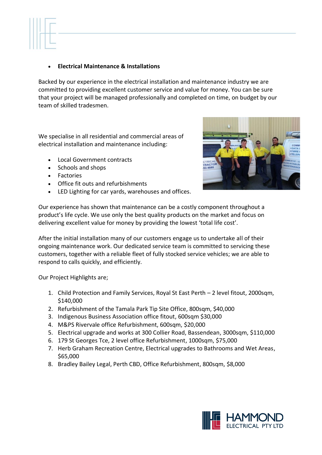

# • **Electrical Maintenance & Installations**

Backed by our experience in the electrical installation and maintenance industry we are committed to providing excellent customer service and value for money. You can be sure that your project will be managed professionally and completed on time, on budget by our team of skilled tradesmen.

We specialise in all residential and commercial areas of electrical installation and maintenance including:

- Local Government contracts
- Schools and shops
- Factories
- Office fit outs and refurbishments
- LED Lighting for car yards, warehouses and offices.



Our experience has shown that maintenance can be a costly component throughout a product's life cycle. We use only the best quality products on the market and focus on delivering excellent value for money by providing the lowest 'total life cost'.

After the initial installation many of our customers engage us to undertake all of their ongoing maintenance work. Our dedicated service team is committed to servicing these customers, together with a reliable fleet of fully stocked service vehicles; we are able to respond to calls quickly, and efficiently.

Our Project Highlights are;

- 1. Child Protection and Family Services, Royal St East Perth 2 level fitout, 2000sqm, \$140,000
- 2. Refurbishment of the Tamala Park Tip Site Office, 800sqm, \$40,000
- 3. Indigenous Business Association office fitout, 600sqm \$30,000
- 4. M&PS Rivervale office Refurbishment, 600sqm, \$20,000
- 5. Electrical upgrade and works at 300 Collier Road, Bassendean, 3000sqm, \$110,000
- 6. 179 St Georges Tce, 2 level office Refurbishment, 1000sqm, \$75,000
- 7. Herb Graham Recreation Centre, Electrical upgrades to Bathrooms and Wet Areas, \$65,000
- 8. Bradley Bailey Legal, Perth CBD, Office Refurbishment, 800sqm, \$8,000

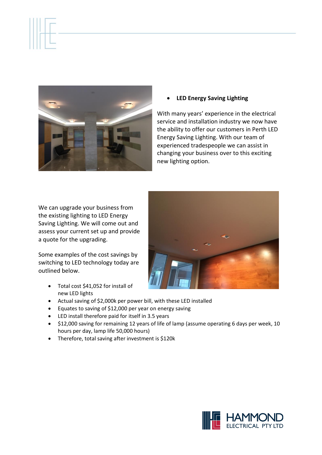

• **LED Energy Saving Lighting**

With many years' experience in the electrical service and installation industry we now have the ability to offer our customers in Perth LED Energy Saving Lighting. With our team of experienced tradespeople we can assist in changing your business over to this exciting new lighting option.

We can upgrade your business from the existing lighting to LED Energy Saving Lighting. We will come out and assess your current set up and provide a quote for the upgrading.

Some examples of the cost savings by switching to LED technology today are outlined below.

• Total cost \$41,052 for install of new LED lights



- Actual saving of \$2,000k per power bill, with these LED installed
- Equates to saving of \$12,000 per year on energy saving
- LED install therefore paid for itself in 3.5 years
- \$12,000 saving for remaining 12 years of life of lamp (assume operating 6 days per week, 10 hours per day, lamp life 50,000 hours)
- Therefore, total saving after investment is \$120k

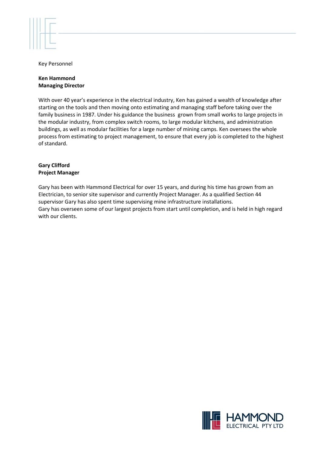

Key Personnel

#### **Ken Hammond Managing Director**

With over 40 year's experience in the electrical industry, Ken has gained a wealth of knowledge after starting on the tools and then moving onto estimating and managing staff before taking over the family business in 1987. Under his guidance the business grown from small works to large projects in the modular industry, from complex switch rooms, to large modular kitchens, and administration buildings, as well as modular facilities for a large number of mining camps. Ken oversees the whole process from estimating to project management, to ensure that every job is completed to the highest of standard.

#### **Gary Clifford Project Manager**

Gary has been with Hammond Electrical for over 15 years, and during his time has grown from an Electrician, to senior site supervisor and currently Project Manager. As a qualified Section 44 supervisor Gary has also spent time supervising mine infrastructure installations. Gary has overseen some of our largest projects from start until completion, and is held in high regard with our clients.